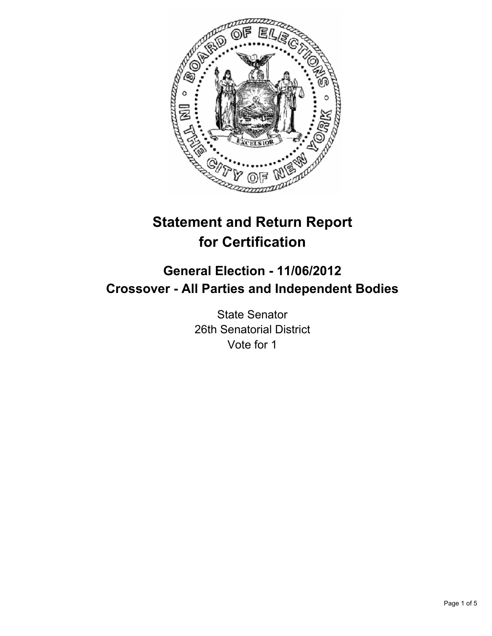

# **Statement and Return Report for Certification**

## **General Election - 11/06/2012 Crossover - All Parties and Independent Bodies**

State Senator 26th Senatorial District Vote for 1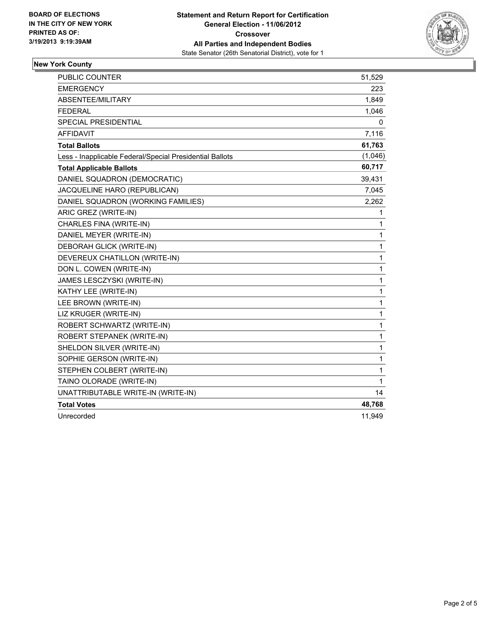

## **New York County**

| PUBLIC COUNTER                                           | 51,529  |
|----------------------------------------------------------|---------|
| <b>EMERGENCY</b>                                         | 223     |
| <b>ABSENTEE/MILITARY</b>                                 | 1,849   |
| <b>FEDERAL</b>                                           | 1,046   |
| <b>SPECIAL PRESIDENTIAL</b>                              | 0       |
| <b>AFFIDAVIT</b>                                         | 7,116   |
| <b>Total Ballots</b>                                     | 61,763  |
| Less - Inapplicable Federal/Special Presidential Ballots | (1,046) |
| <b>Total Applicable Ballots</b>                          | 60,717  |
| DANIEL SQUADRON (DEMOCRATIC)                             | 39,431  |
| JACQUELINE HARO (REPUBLICAN)                             | 7,045   |
| DANIEL SQUADRON (WORKING FAMILIES)                       | 2,262   |
| ARIC GREZ (WRITE-IN)                                     | 1       |
| CHARLES FINA (WRITE-IN)                                  | 1       |
| DANIEL MEYER (WRITE-IN)                                  | 1       |
| DEBORAH GLICK (WRITE-IN)                                 | 1       |
| DEVEREUX CHATILLON (WRITE-IN)                            | 1       |
| DON L. COWEN (WRITE-IN)                                  | 1       |
| JAMES LESCZYSKI (WRITE-IN)                               | 1       |
| KATHY LEE (WRITE-IN)                                     | 1       |
| LEE BROWN (WRITE-IN)                                     | 1       |
| LIZ KRUGER (WRITE-IN)                                    | 1       |
| ROBERT SCHWARTZ (WRITE-IN)                               | 1       |
| ROBERT STEPANEK (WRITE-IN)                               | 1       |
| SHELDON SILVER (WRITE-IN)                                | 1       |
| SOPHIE GERSON (WRITE-IN)                                 | 1       |
| STEPHEN COLBERT (WRITE-IN)                               | 1       |
| TAINO OLORADE (WRITE-IN)                                 | 1       |
| UNATTRIBUTABLE WRITE-IN (WRITE-IN)                       | 14      |
| <b>Total Votes</b>                                       | 48,768  |
| Unrecorded                                               | 11,949  |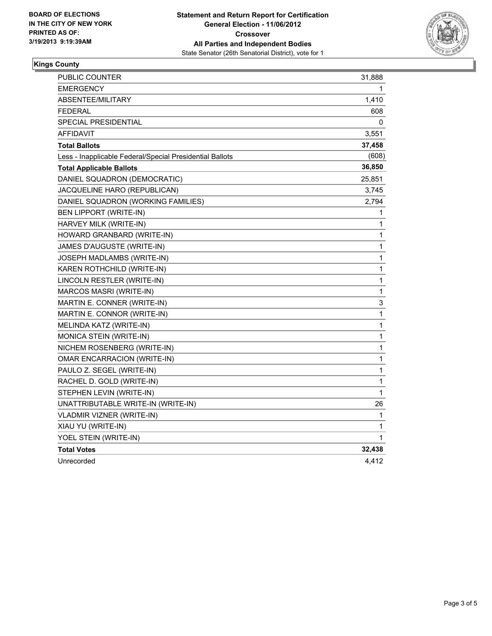

### **Kings County**

| PUBLIC COUNTER                                           | 31,888       |
|----------------------------------------------------------|--------------|
| <b>EMERGENCY</b>                                         | 1            |
| <b>ABSENTEE/MILITARY</b>                                 | 1,410        |
| <b>FEDERAL</b>                                           | 608          |
| SPECIAL PRESIDENTIAL                                     | 0            |
| AFFIDAVIT                                                | 3,551        |
| <b>Total Ballots</b>                                     | 37,458       |
| Less - Inapplicable Federal/Special Presidential Ballots | (608)        |
| <b>Total Applicable Ballots</b>                          | 36,850       |
| DANIEL SQUADRON (DEMOCRATIC)                             | 25,851       |
| JACQUELINE HARO (REPUBLICAN)                             | 3,745        |
| DANIEL SQUADRON (WORKING FAMILIES)                       | 2,794        |
| BEN LIPPORT (WRITE-IN)                                   | 1            |
| HARVEY MILK (WRITE-IN)                                   | 1            |
| HOWARD GRANBARD (WRITE-IN)                               | 1            |
| JAMES D'AUGUSTE (WRITE-IN)                               | 1            |
| JOSEPH MADLAMBS (WRITE-IN)                               | 1            |
| KAREN ROTHCHILD (WRITE-IN)                               | 1            |
| LINCOLN RESTLER (WRITE-IN)                               | 1            |
| MARCOS MASRI (WRITE-IN)                                  | 1            |
| MARTIN E. CONNER (WRITE-IN)                              | 3            |
| MARTIN E. CONNOR (WRITE-IN)                              | 1            |
| MELINDA KATZ (WRITE-IN)                                  | $\mathbf{1}$ |
| MONICA STEIN (WRITE-IN)                                  | 1            |
| NICHEM ROSENBERG (WRITE-IN)                              | 1            |
| <b>OMAR ENCARRACION (WRITE-IN)</b>                       | 1            |
| PAULO Z. SEGEL (WRITE-IN)                                | 1            |
| RACHEL D. GOLD (WRITE-IN)                                | 1            |
| STEPHEN LEVIN (WRITE-IN)                                 | 1            |
| UNATTRIBUTABLE WRITE-IN (WRITE-IN)                       | 26           |
| <b>VLADMIR VIZNER (WRITE-IN)</b>                         | 1            |
| XIAU YU (WRITE-IN)                                       | 1            |
| YOEL STEIN (WRITE-IN)                                    | 1            |
| <b>Total Votes</b>                                       | 32,438       |
| Unrecorded                                               | 4,412        |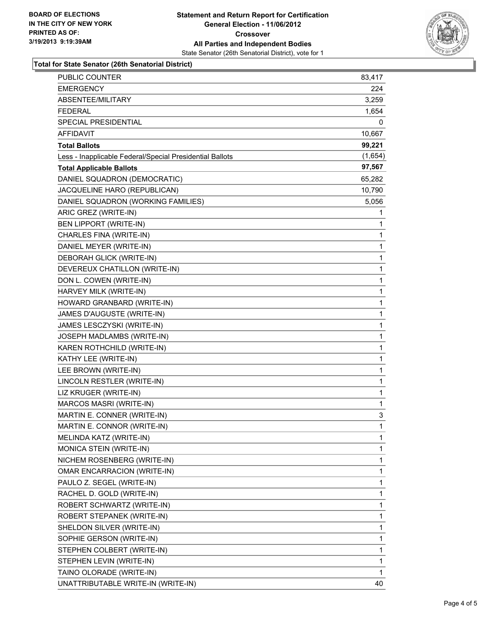

#### **Total for State Senator (26th Senatorial District)**

| PUBLIC COUNTER                                           | 83,417  |
|----------------------------------------------------------|---------|
| <b>EMERGENCY</b>                                         | 224     |
| ABSENTEE/MILITARY                                        | 3,259   |
| <b>FEDERAL</b>                                           | 1,654   |
| SPECIAL PRESIDENTIAL                                     | 0       |
| AFFIDAVIT                                                | 10,667  |
| <b>Total Ballots</b>                                     | 99,221  |
| Less - Inapplicable Federal/Special Presidential Ballots | (1,654) |
| <b>Total Applicable Ballots</b>                          | 97,567  |
| DANIEL SQUADRON (DEMOCRATIC)                             | 65,282  |
| JACQUELINE HARO (REPUBLICAN)                             | 10,790  |
| DANIEL SQUADRON (WORKING FAMILIES)                       | 5,056   |
| ARIC GREZ (WRITE-IN)                                     | 1       |
| BEN LIPPORT (WRITE-IN)                                   | 1       |
| CHARLES FINA (WRITE-IN)                                  | 1       |
| DANIEL MEYER (WRITE-IN)                                  | 1       |
| DEBORAH GLICK (WRITE-IN)                                 | 1       |
| DEVEREUX CHATILLON (WRITE-IN)                            | 1       |
| DON L. COWEN (WRITE-IN)                                  | 1       |
| HARVEY MILK (WRITE-IN)                                   | 1       |
| HOWARD GRANBARD (WRITE-IN)                               | 1       |
| JAMES D'AUGUSTE (WRITE-IN)                               | 1       |
| JAMES LESCZYSKI (WRITE-IN)                               | 1       |
| JOSEPH MADLAMBS (WRITE-IN)                               | 1       |
| KAREN ROTHCHILD (WRITE-IN)                               | 1       |
| KATHY LEE (WRITE-IN)                                     | 1       |
| LEE BROWN (WRITE-IN)                                     | 1       |
| LINCOLN RESTLER (WRITE-IN)                               | 1       |
| LIZ KRUGER (WRITE-IN)                                    | 1       |
| MARCOS MASRI (WRITE-IN)                                  | 1       |
| MARTIN E. CONNER (WRITE-IN)                              | 3       |
| MARTIN E. CONNOR (WRITE-IN)                              | 1       |
| MELINDA KATZ (WRITE-IN)                                  | 1       |
| <b>MONICA STEIN (WRITE-IN)</b>                           | 1       |
| NICHEM ROSENBERG (WRITE-IN)                              | 1       |
| OMAR ENCARRACION (WRITE-IN)                              | 1       |
| PAULO Z. SEGEL (WRITE-IN)                                | 1       |
| RACHEL D. GOLD (WRITE-IN)                                | 1       |
| ROBERT SCHWARTZ (WRITE-IN)                               | 1       |
| ROBERT STEPANEK (WRITE-IN)                               | 1       |
| SHELDON SILVER (WRITE-IN)                                | 1       |
| SOPHIE GERSON (WRITE-IN)                                 | 1       |
| STEPHEN COLBERT (WRITE-IN)                               | 1       |
| STEPHEN LEVIN (WRITE-IN)                                 | 1       |
| TAINO OLORADE (WRITE-IN)                                 | 1       |
| UNATTRIBUTABLE WRITE-IN (WRITE-IN)                       | 40      |
|                                                          |         |